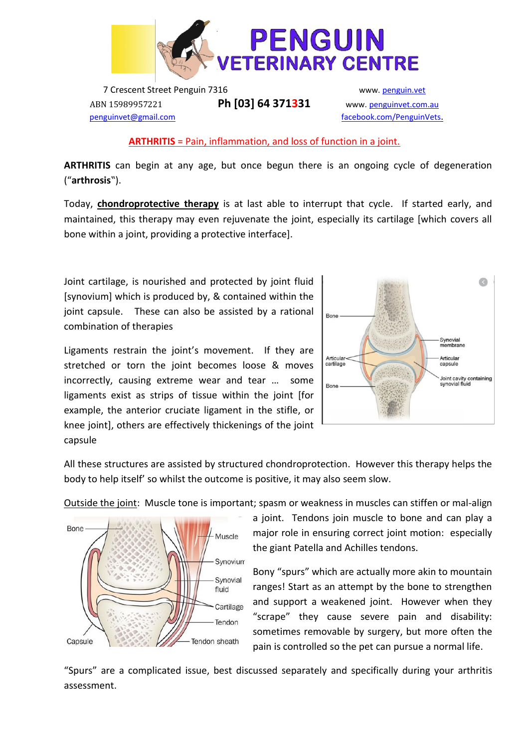

7 Crescent Street Penguin 7316 www. [penguin.vet](http://www.penguinvet.com.au/) ABN 15989957221 **Ph [03] 64 371331** www. [penguinvet.com.au](http://www.penguinvet.com.au/)  [penguinvet@gmail.com](mailto:penguinvet@gmail.com) [facebook.com/PenguinVets](mailto:penguinvet@gmail.com).

### **ARTHRITIS** = Pain, inflammation, and loss of function in a joint.

**ARTHRITIS** can begin at any age, but once begun there is an ongoing cycle of degeneration ("**arthrosis**").

Today, **chondroprotective therapy** is at last able to interrupt that cycle. If started early, and maintained, this therapy may even rejuvenate the joint, especially its cartilage [which covers all bone within a joint, providing a protective interface].

Joint cartilage, is nourished and protected by joint fluid [synovium] which is produced by, & contained within the joint capsule. These can also be assisted by a rational combination of therapies

Ligaments restrain the joint's movement. If they are stretched or torn the joint becomes loose & moves incorrectly, causing extreme wear and tear … some ligaments exist as strips of tissue within the joint [for example, the anterior cruciate ligament in the stifle, or knee joint], others are effectively thickenings of the joint capsule



All these structures are assisted by structured chondroprotection. However this therapy helps the body to help itself' so whilst the outcome is positive, it may also seem slow.

Outside the joint: Muscle tone is important; spasm or weakness in muscles can stiffen or mal-align



a joint. Tendons join muscle to bone and can play a major role in ensuring correct joint motion: especially the giant Patella and Achilles tendons.

Bony "spurs" which are actually more akin to mountain ranges! Start as an attempt by the bone to strengthen and support a weakened joint. However when they "scrape" they cause severe pain and disability: sometimes removable by surgery, but more often the pain is controlled so the pet can pursue a normal life.

"Spurs" are a complicated issue, best discussed separately and specifically during your arthritis assessment.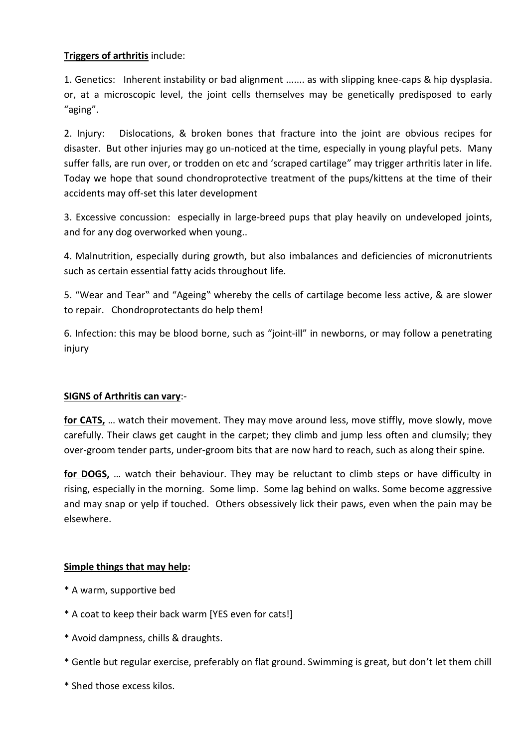# **Triggers of arthritis** include:

1. Genetics: Inherent instability or bad alignment ....... as with slipping knee-caps & hip dysplasia. or, at a microscopic level, the joint cells themselves may be genetically predisposed to early "aging".

2. Injury: Dislocations, & broken bones that fracture into the joint are obvious recipes for disaster. But other injuries may go un-noticed at the time, especially in young playful pets. Many suffer falls, are run over, or trodden on etc and 'scraped cartilage" may trigger arthritis later in life. Today we hope that sound chondroprotective treatment of the pups/kittens at the time of their accidents may off-set this later development

3. Excessive concussion: especially in large-breed pups that play heavily on undeveloped joints, and for any dog overworked when young..

4. Malnutrition, especially during growth, but also imbalances and deficiencies of micronutrients such as certain essential fatty acids throughout life.

5. "Wear and Tear" and "Ageing" whereby the cells of cartilage become less active, & are slower to repair. Chondroprotectants do help them!

6. Infection: this may be blood borne, such as "joint-ill" in newborns, or may follow a penetrating injury

## **SIGNS of Arthritis can vary**:-

**for CATS,** … watch their movement. They may move around less, move stiffly, move slowly, move carefully. Their claws get caught in the carpet; they climb and jump less often and clumsily; they over-groom tender parts, under-groom bits that are now hard to reach, such as along their spine.

**for DOGS,** … watch their behaviour. They may be reluctant to climb steps or have difficulty in rising, especially in the morning. Some limp. Some lag behind on walks. Some become aggressive and may snap or yelp if touched. Others obsessively lick their paws, even when the pain may be elsewhere.

## **Simple things that may help:**

- \* A warm, supportive bed
- \* A coat to keep their back warm [YES even for cats!]
- \* Avoid dampness, chills & draughts.
- \* Gentle but regular exercise, preferably on flat ground. Swimming is great, but don't let them chill
- \* Shed those excess kilos.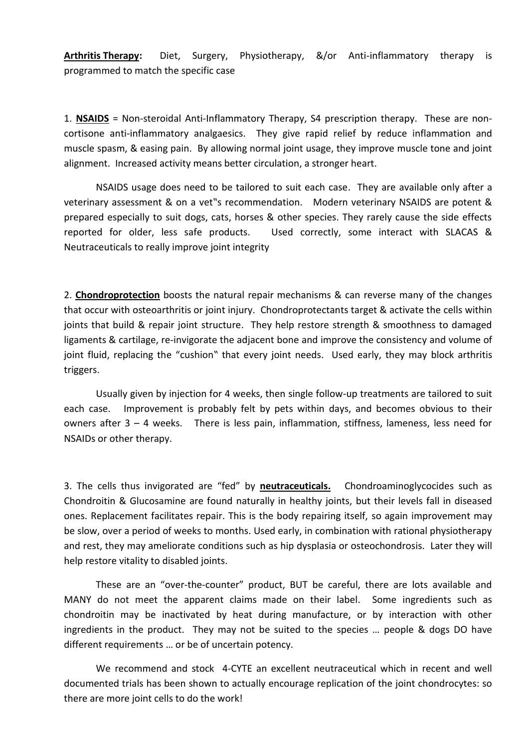**Arthritis Therapy:** Diet, Surgery, Physiotherapy, &/or Anti-inflammatory therapy is programmed to match the specific case

1. **NSAIDS** = Non-steroidal Anti-Inflammatory Therapy, S4 prescription therapy. These are noncortisone anti-inflammatory analgaesics. They give rapid relief by reduce inflammation and muscle spasm, & easing pain. By allowing normal joint usage, they improve muscle tone and joint alignment. Increased activity means better circulation, a stronger heart.

NSAIDS usage does need to be tailored to suit each case. They are available only after a veterinary assessment & on a vet"s recommendation. Modern veterinary NSAIDS are potent & prepared especially to suit dogs, cats, horses & other species. They rarely cause the side effects reported for older, less safe products. Used correctly, some interact with SLACAS & Neutraceuticals to really improve joint integrity

2. **Chondroprotection** boosts the natural repair mechanisms & can reverse many of the changes that occur with osteoarthritis or joint injury. Chondroprotectants target & activate the cells within joints that build & repair joint structure. They help restore strength & smoothness to damaged ligaments & cartilage, re-invigorate the adjacent bone and improve the consistency and volume of joint fluid, replacing the "cushion" that every joint needs. Used early, they may block arthritis triggers.

Usually given by injection for 4 weeks, then single follow-up treatments are tailored to suit each case. Improvement is probably felt by pets within days, and becomes obvious to their owners after 3 – 4 weeks. There is less pain, inflammation, stiffness, lameness, less need for NSAIDs or other therapy.

3. The cells thus invigorated are "fed" by **neutraceuticals.** Chondroaminoglycocides such as Chondroitin & Glucosamine are found naturally in healthy joints, but their levels fall in diseased ones. Replacement facilitates repair. This is the body repairing itself, so again improvement may be slow, over a period of weeks to months. Used early, in combination with rational physiotherapy and rest, they may ameliorate conditions such as hip dysplasia or osteochondrosis. Later they will help restore vitality to disabled joints.

These are an "over-the-counter" product, BUT be careful, there are lots available and MANY do not meet the apparent claims made on their label. Some ingredients such as chondroitin may be inactivated by heat during manufacture, or by interaction with other ingredients in the product. They may not be suited to the species … people & dogs DO have different requirements … or be of uncertain potency.

We recommend and stock 4-CYTE an excellent neutraceutical which in recent and well documented trials has been shown to actually encourage replication of the joint chondrocytes: so there are more joint cells to do the work!